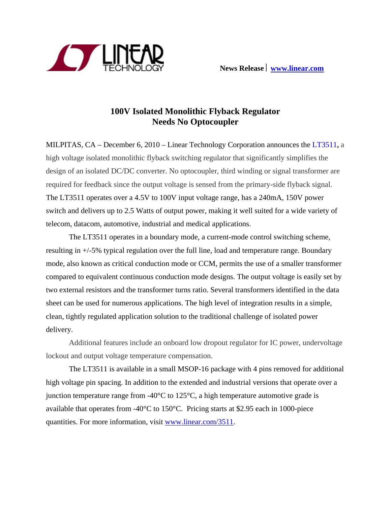

## **100V Isolated Monolithic Flyback Regulator Needs No Optocoupler**

MILPITAS, CA – December 6, 2010 – Linear Technology Corporation announces the [LT3511](http://www.linear.com/3511)**,** a high voltage isolated monolithic flyback switching regulator that significantly simplifies the design of an isolated DC/DC converter. No optocoupler, third winding or signal transformer are required for feedback since the output voltage is sensed from the primary-side flyback signal. The LT3511 operates over a 4.5V to 100V input voltage range, has a 240mA, 150V power switch and delivers up to 2.5 Watts of output power, making it well suited for a wide variety of telecom, datacom, automotive, industrial and medical applications.

The LT3511 operates in a boundary mode, a current-mode control switching scheme, resulting in +/-5% typical regulation over the full line, load and temperature range. Boundary mode, also known as critical conduction mode or CCM, permits the use of a smaller transformer compared to equivalent continuous conduction mode designs. The output voltage is easily set by two external resistors and the transformer turns ratio. Several transformers identified in the data sheet can be used for numerous applications. The high level of integration results in a simple, clean, tightly regulated application solution to the traditional challenge of isolated power delivery.

Additional features include an onboard low dropout regulator for IC power, undervoltage lockout and output voltage temperature compensation.

The LT3511 is available in a small MSOP-16 package with 4 pins removed for additional high voltage pin spacing. In addition to the extended and industrial versions that operate over a junction temperature range from -40 $\degree$ C to 125 $\degree$ C, a high temperature automotive grade is available that operates from -40°C to 150°C. Pricing starts at \$2.95 each in 1000-piece quantities. For more information, visit [www.linear.com/3511.](http://www.linear.com/3511)